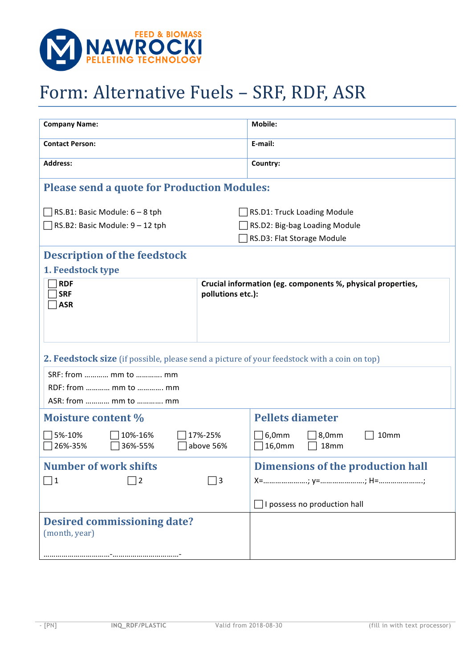

## Form: Alternative Fuels - SRF, RDF, ASR

| <b>Company Name:</b>                                                                               |                   | <b>Mobile:</b>                                              |  |  |
|----------------------------------------------------------------------------------------------------|-------------------|-------------------------------------------------------------|--|--|
| <b>Contact Person:</b>                                                                             |                   | E-mail:                                                     |  |  |
| <b>Address:</b>                                                                                    |                   | Country:                                                    |  |  |
| <b>Please send a quote for Production Modules:</b>                                                 |                   |                                                             |  |  |
| RS.B1: Basic Module: 6 - 8 tph                                                                     |                   | RS.D1: Truck Loading Module                                 |  |  |
| $\Box$ RS.B2: Basic Module: 9 – 12 tph                                                             |                   | RS.D2: Big-bag Loading Module                               |  |  |
|                                                                                                    |                   | RS.D3: Flat Storage Module                                  |  |  |
|                                                                                                    |                   |                                                             |  |  |
| <b>Description of the feedstock</b>                                                                |                   |                                                             |  |  |
| 1. Feedstock type                                                                                  |                   |                                                             |  |  |
| <b>RDF</b><br><b>SRF</b>                                                                           |                   | Crucial information (eg. components %, physical properties, |  |  |
| <b>ASR</b>                                                                                         | pollutions etc.): |                                                             |  |  |
|                                                                                                    |                   |                                                             |  |  |
|                                                                                                    |                   |                                                             |  |  |
|                                                                                                    |                   |                                                             |  |  |
| <b>2. Feedstock size</b> (if possible, please send a picture of your feedstock with a coin on top) |                   |                                                             |  |  |
| SRF: from  mm to  mm                                                                               |                   |                                                             |  |  |
| RDF: from  mm to  mm                                                                               |                   |                                                             |  |  |
| ASR: from  mm to  mm                                                                               |                   |                                                             |  |  |
|                                                                                                    |                   |                                                             |  |  |
| <b>Moisture content %</b>                                                                          |                   | <b>Pellets diameter</b>                                     |  |  |
| 5%-10%<br>10%-16%<br>17%-25%                                                                       |                   | 8,0mm<br>6,0mm<br>10mm                                      |  |  |
| 26%-35%<br>36%-55%<br>above 56%                                                                    |                   | 16,0mm<br>18mm                                              |  |  |
| <b>Number of work shifts</b>                                                                       |                   | <b>Dimensions of the production hall</b>                    |  |  |
| 1<br> 2                                                                                            | 3                 |                                                             |  |  |
|                                                                                                    |                   |                                                             |  |  |
|                                                                                                    |                   | I possess no production hall                                |  |  |
| <b>Desired commissioning date?</b><br>(month, year)                                                |                   |                                                             |  |  |
| -                                                                                                  |                   |                                                             |  |  |